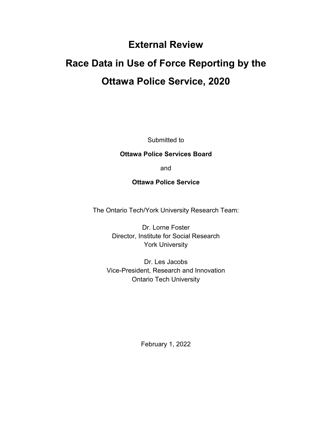# **External Review**

# **Race Data in Use of Force Reporting by the Ottawa Police Service, 2020**

Submitted to

#### **Ottawa Police Services Board**

and

#### **Ottawa Police Service**

The Ontario Tech/York University Research Team:

Dr. Lorne Foster Director, Institute for Social Research York University

Dr. Les Jacobs Vice-President, Research and Innovation Ontario Tech University

February 1, 2022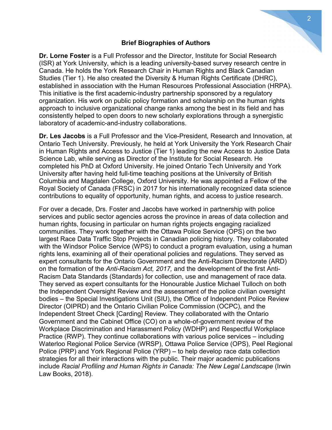#### **Brief Biographies of Authors**

**Dr. Lorne Foster** is a Full Professor and the Director, Institute for Social Research (ISR) at York University, which is a leading university-based survey research centre in Canada. He holds the York Research Chair in Human Rights and Black Canadian Studies (Tier 1). He also created the Diversity & Human Rights Certificate (DHRC), established in association with the Human Resources Professional Association (HRPA). This initiative is the first academic-industry partnership sponsored by a regulatory organization. His work on public policy formation and scholarship on the human rights approach to inclusive organizational change ranks among the best in its field and has consistently helped to open doors to new scholarly explorations through a synergistic laboratory of academic-and-industry collaborations.

**Dr. Les Jacobs** is a Full Professor and the Vice-President, Research and Innovation, at Ontario Tech University. Previously, he held at York University the York Research Chair in Human Rights and Access to Justice (Tier 1) leading the new Access to Justice Data Science Lab, while serving as Director of the Institute for Social Research. He completed his PhD at Oxford University. He joined Ontario Tech University and York University after having held full-time teaching positions at the University of British Columbia and Magdalen College, Oxford University. He was appointed a Fellow of the Royal Society of Canada (FRSC) in 2017 for his internationally recognized data science contributions to equality of opportunity, human rights, and access to justice research.

For over a decade, Drs. Foster and Jacobs have worked in partnership with police services and public sector agencies across the province in areas of data collection and human rights, focusing in particular on human rights projects engaging racialized communities. They work together with the Ottawa Police Service (OPS) on the two largest Race Data Traffic Stop Projects in Canadian policing history. They collaborated with the Windsor Police Service (WPS) to conduct a program evaluation, using a human rights lens, examining all of their operational policies and regulations. They served as expert consultants for the Ontario Government and the Anti-Racism Directorate (ARD) on the formation of the *Anti-Racism Act, 2017,* and the development of the first Anti-Racism Data Standards (Standards) for collection, use and management of race data. They served as expert consultants for the Honourable Justice Michael Tulloch on both the Independent Oversight Review and the assessment of the police civilian oversight bodies – the Special Investigations Unit (SIU), the Office of Independent Police Review Director (OIPRD) and the Ontario Civilian Police Commission (OCPC), and the Independent Street Check [Carding] Review. They collaborated with the Ontario Government and the Cabinet Office (CO) on a whole-of-government review of the Workplace Discrimination and Harassment Policy (WDHP) and Respectful Workplace Practice (RWP). They continue collaborations with various police services – including Waterloo Regional Police Service (WRSP), Ottawa Police Service (OPS), Peel Regional Police (PRP) and York Regional Police (YRP) – to help develop race data collection strategies for all their interactions with the public. Their major academic publications include *Racial Profiling and Human Rights in Canada: The New Legal Landscape* (Irwin Law Books, 2018).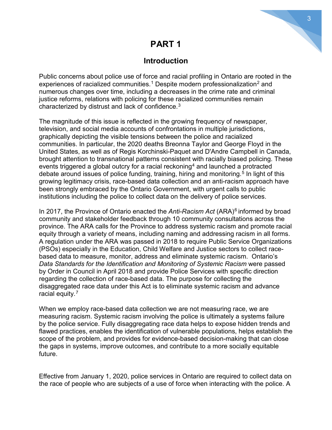# **PART 1**

## **Introduction**

Public concerns about police use of force and racial profiling in Ontario are rooted in the experiences of racialized communities. $^{\rm 1}$  $^{\rm 1}$  $^{\rm 1}$  Despite modern professionalization $^{\rm 2}$  $^{\rm 2}$  $^{\rm 2}$  and numerous changes over time, including a decreases in the crime rate and criminal justice reforms, relations with policing for these racialized communities remain characterized by distrust and lack of confidence.[3](#page-12-2)

The magnitude of this issue is reflected in the growing frequency of newspaper, television, and social media accounts of confrontations in multiple jurisdictions, graphically depicting the visible tensions between the police and racialized communities. In particular, the 2020 deaths Breonna Taylor and George Floyd in the United States, as well as of Regis Korchinski-Paquet and D'Andre Campbell in Canada, brought attention to transnational patterns consistent with racially biased policing. These events triggered a global outcry for a racial reckoning<sup>[4](#page-13-0)</sup> and launched a protracted debate around issues of police funding, training, hiring and monitoring.<sup>[5](#page-13-1)</sup> In light of this growing legitimacy crisis, race-based data collection and an anti-racism approach have been strongly embraced by the Ontario Government, with urgent calls to public institutions including the police to collect data on the delivery of police services.

In 2017, the Province of Ontario enacted the *Anti-Racism Act* (ARA)[6](#page-13-2) informed by broad community and stakeholder feedback through 10 community consultations across the province. The ARA calls for the Province to address systemic racism and promote racial equity through a variety of means, including naming and addressing racism in all forms. A regulation under the ARA was passed in 2018 to require Public Service Organizations (PSOs) especially in the Education, Child Welfare and Justice sectors to collect racebased data to measure, monitor, address and eliminate systemic racism. Ontario's *Data Standards for the Identification and Monitoring of Systemic Racism* were passed by Order in Council in April 2018 and provide Police Services with specific direction regarding the collection of race-based data. The purpose for collecting the disaggregated race data under this Act is to eliminate systemic racism and advance racial equity.[7](#page-13-3)

When we employ race-based data collection we are not measuring race, we are measuring racism. Systemic racism involving the police is ultimately a systems failure by the police service. Fully disaggregating race data helps to expose hidden trends and flawed practices, enables the identification of vulnerable populations, helps establish the scope of the problem, and provides for evidence-based decision-making that can close the gaps in systems, improve outcomes, and contribute to a more socially equitable future.

Effective from January 1, 2020, police services in Ontario are required to collect data on the race of people who are subjects of a use of force when interacting with the police. A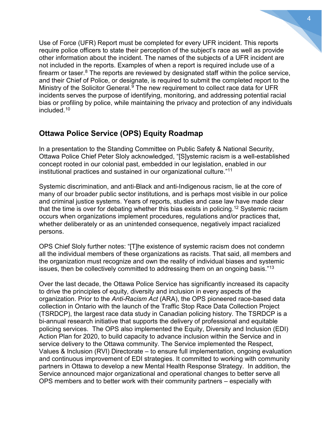Use of Force (UFR) Report must be completed for every UFR incident. This reports require police officers to state their perception of the subject's race as well as provide other information about the incident. The names of the subjects of a UFR incident are not included in the reports. Examples of when a report is required include use of a firearm or taser.<sup>[8](#page-13-4)</sup> The reports are reviewed by designated staff within the police service, and their Chief of Police, or designate, is required to submit the completed report to the Ministry of the Solicitor General. $9$  The new requirement to collect race data for UFR incidents serves the purpose of identifying, monitoring, and addressing potential racial bias or profiling by police, while maintaining the privacy and protection of any individuals included.[10](#page-13-6)

## **Ottawa Police Service (OPS) Equity Roadmap**

In a presentation to the Standing Committee on Public Safety & National Security, Ottawa Police Chief Peter Sloly acknowledged, "[S]ystemic racism is a well-established concept rooted in our colonial past, embedded in our legislation, enabled in our institutional practices and sustained in our organizational culture."[11](#page-13-7)

Systemic discrimination, and anti-Black and anti-Indigenous racism, lie at the core of many of our broader public sector institutions, and is perhaps most visible in our police and criminal justice systems. Years of reports, studies and case law have made clear that the time is over for debating whether this bias exists in policing.<sup>[12](#page-13-8)</sup> Systemic racism occurs when organizations implement procedures, regulations and/or practices that, whether deliberately or as an unintended consequence, negatively impact racialized persons.

OPS Chief Sloly further notes: "[T]he existence of systemic racism does not condemn all the individual members of these organizations as racists. That said, all members and the organization must recognize and own the reality of individual biases and systemic issues, then be collectively committed to addressing them on an ongoing basis."<sup>[13](#page-13-9)</sup>

Over the last decade, the Ottawa Police Service has significantly increased its capacity to drive the principles of equity, diversity and inclusion in every aspects of the organization. Prior to the *Anti-Racism Act* (ARA), the OPS pioneered race-based data collection in Ontario with the launch of the Traffic Stop Race Data Collection Project (TSRDCP), the largest race data study in Canadian policing history. The TSRDCP is a bi-annual research initiative that supports the delivery of professional and equitable policing services. The OPS also implemented the Equity, Diversity and Inclusion (EDI) Action Plan for 2020, to build capacity to advance inclusion within the Service and in service delivery to the Ottawa community. The Service implemented the Respect, Values & Inclusion (RVI) Directorate – to ensure full implementation, ongoing evaluation and continuous improvement of EDI strategies. It committed to working with community partners in Ottawa to develop a new Mental Health Response Strategy. In addition, the Service announced major organizational and operational changes to better serve all OPS members and to better work with their community partners – especially with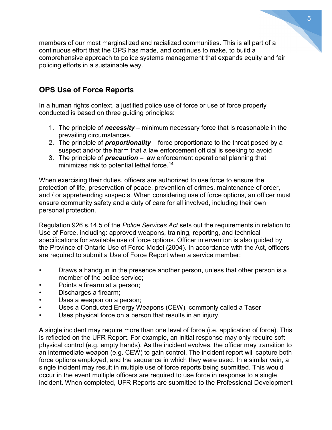members of our most marginalized and racialized communities. This is all part of a continuous effort that the OPS has made, and continues to make, to build a comprehensive approach to police systems management that expands equity and fair policing efforts in a sustainable way.

# **OPS Use of Force Reports**

In a human rights context, a justified police use of force or use of force properly conducted is based on three guiding principles:

- 1. The principle of *necessity* minimum necessary force that is reasonable in the prevailing circumstances.
- 2. The principle of *proportionality* force proportionate to the threat posed by a suspect and/or the harm that a law enforcement official is seeking to avoid
- 3. The principle of *precaution* law enforcement operational planning that minimizes risk to potential lethal force.<sup>[14](#page-13-10)</sup>

When exercising their duties, officers are authorized to use force to ensure the protection of life, preservation of peace, prevention of crimes, maintenance of order, and / or apprehending suspects. When considering use of force options, an officer must ensure community safety and a duty of care for all involved, including their own personal protection.

Regulation 926 s.14.5 of the *Police Services Act* sets out the requirements in relation to Use of Force, including: approved weapons, training, reporting, and technical specifications for available use of force options. Officer intervention is also guided by the Province of Ontario Use of Force Model (2004). In accordance with the Act, officers are required to submit a Use of Force Report when a service member:

- Draws a handgun in the presence another person, unless that other person is a member of the police service;
- Points a firearm at a person;
- Discharges a firearm;
- Uses a weapon on a person;
- Uses a Conducted Energy Weapons (CEW), commonly called a Taser
- Uses physical force on a person that results in an injury.

A single incident may require more than one level of force (i.e. application of force). This is reflected on the UFR Report. For example, an initial response may only require soft physical control (e.g. empty hands). As the incident evolves, the officer may transition to an intermediate weapon (e.g. CEW) to gain control. The incident report will capture both force options employed, and the sequence in which they were used. In a similar vein, a single incident may result in multiple use of force reports being submitted. This would occur in the event multiple officers are required to use force in response to a single incident. When completed, UFR Reports are submitted to the Professional Development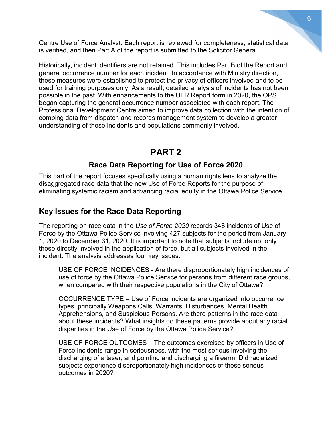Centre Use of Force Analyst. Each report is reviewed for completeness, statistical data is verified, and then Part A of the report is submitted to the Solicitor General.

Historically, incident identifiers are not retained. This includes Part B of the Report and general occurrence number for each incident. In accordance with Ministry direction, these measures were established to protect the privacy of officers involved and to be used for training purposes only. As a result, detailed analysis of incidents has not been possible in the past. With enhancements to the UFR Report form in 2020, the OPS began capturing the general occurrence number associated with each report. The Professional Development Centre aimed to improve data collection with the intention of combing data from dispatch and records management system to develop a greater understanding of these incidents and populations commonly involved.

# **PART 2**

## **Race Data Reporting for Use of Force 2020**

This part of the report focuses specifically using a human rights lens to analyze the disaggregated race data that the new Use of Force Reports for the purpose of eliminating systemic racism and advancing racial equity in the Ottawa Police Service.

## **Key Issues for the Race Data Reporting**

The reporting on race data in the *Use of Force 2020* records 348 incidents of Use of Force by the Ottawa Police Service involving 427 subjects for the period from January 1, 2020 to December 31, 2020. It is important to note that subjects include not only those directly involved in the application of force, but all subjects involved in the incident. The analysis addresses four key issues:

USE OF FORCE INCIDENCES - Are there disproportionately high incidences of use of force by the Ottawa Police Service for persons from different race groups, when compared with their respective populations in the City of Ottawa?

OCCURRENCE TYPE – Use of Force incidents are organized into occurrence types, principally Weapons Calls, Warrants, Disturbances, Mental Health Apprehensions, and Suspicious Persons. Are there patterns in the race data about these incidents? What insights do these patterns provide about any racial disparities in the Use of Force by the Ottawa Police Service?

USE OF FORCE OUTCOMES – The outcomes exercised by officers in Use of Force incidents range in seriousness, with the most serious involving the discharging of a taser, and pointing and discharging a firearm. Did racialized subjects experience disproportionately high incidences of these serious outcomes in 2020?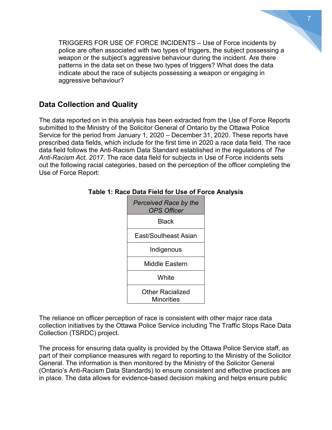TRIGGERS FOR USE OF FORCE INCIDENTS – Use of Force incidents by police are often associated with two types of triggers, the subject possessing a weapon or the subject's aggressive behaviour during the incident. Are there patterns in the data set on these two types of triggers? What does the data indicate about the race of subjects possessing a weapon or engaging in aggressive behaviour?

## **Data Collection and Quality**

The data reported on in this analysis has been extracted from the Use of Force Reports submitted to the Ministry of the Solicitor General of Ontario by the Ottawa Police Service for the period from January 1, 2020 – December 31, 2020. These reports have prescribed data fields, which include for the first time in 2020 a race data field. The race data field follows the Anti-Racism Data Standard established in the regulations of *The Anti-Racism Act, 2017*. The race data field for subjects in Use of Force incidents sets out the following racial categories, based on the perception of the officer completing the Use of Force Report:

| Perceived Race by the<br><b>OPS Officer</b> |  |  |  |  |  |
|---------------------------------------------|--|--|--|--|--|
| <b>Black</b>                                |  |  |  |  |  |
| Fast/Southeast Asian                        |  |  |  |  |  |
| Indigenous                                  |  |  |  |  |  |
| Middle Eastern                              |  |  |  |  |  |
| White                                       |  |  |  |  |  |
| Other Racialized<br>Minorities              |  |  |  |  |  |

**Table 1: Race Data Field for Use of Force Analysis**

The reliance on officer perception of race is consistent with other major race data collection initiatives by the Ottawa Police Service including The Traffic Stops Race Data Collection (TSRDC) project.

The process for ensuring data quality is provided by the Ottawa Police Service staff, as part of their compliance measures with regard to reporting to the Ministry of the Solicitor General. The information is then monitored by the Ministry of the Solicitor General (Ontario's Anti-Racism Data Standards) to ensure consistent and effective practices are in place. The data allows for evidence-based decision making and helps ensure public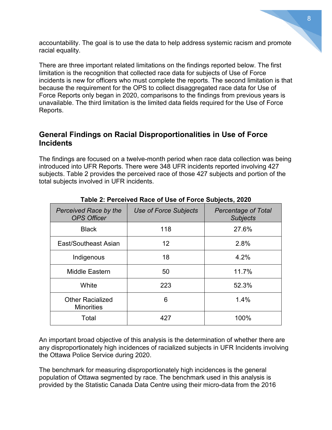accountability. The goal is to use the data to help address systemic racism and promote racial equality.

There are three important related limitations on the findings reported below. The first limitation is the recognition that collected race data for subjects of Use of Force incidents is new for officers who must complete the reports. The second limitation is that because the requirement for the OPS to collect disaggregated race data for Use of Force Reports only began in 2020, comparisons to the findings from previous years is unavailable. The third limitation is the limited data fields required for the Use of Force Reports.

## **General Findings on Racial Disproportionalities in Use of Force Incidents**

The findings are focused on a twelve-month period when race data collection was being introduced into UFR Reports. There were 348 UFR incidents reported involving 427 subjects. Table 2 provides the perceived race of those 427 subjects and portion of the total subjects involved in UFR incidents.

| Perceived Race by the<br><b>OPS Officer</b>  | Use of Force Subjects | <b>Percentage of Total</b><br><b>Subjects</b> |
|----------------------------------------------|-----------------------|-----------------------------------------------|
| <b>Black</b>                                 | 118                   | 27.6%                                         |
| East/Southeast Asian                         | 12                    | 2.8%                                          |
| Indigenous                                   | 18                    | 4.2%                                          |
| <b>Middle Eastern</b>                        | 50                    | 11.7%                                         |
| White                                        | 223                   | 52.3%                                         |
| <b>Other Racialized</b><br><b>Minorities</b> | 6                     | 1.4%                                          |
| Total                                        | 427                   | 100%                                          |

#### **Table 2: Perceived Race of Use of Force Subjects, 2020**

An important broad objective of this analysis is the determination of whether there are any disproportionately high incidences of racialized subjects in UFR Incidents involving the Ottawa Police Service during 2020.

The benchmark for measuring disproportionately high incidences is the general population of Ottawa segmented by race. The benchmark used in this analysis is provided by the Statistic Canada Data Centre using their micro-data from the 2016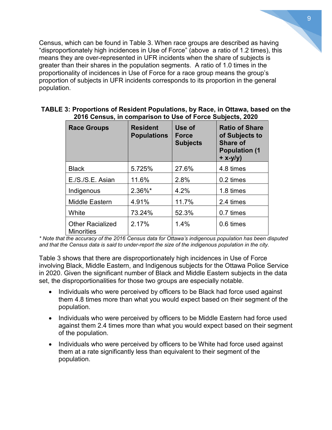Census, which can be found in Table 3. When race groups are described as having "disproportionately high incidences in Use of Force" (above a ratio of 1.2 times), this means they are over-represented in UFR incidents when the share of subjects is greater than their shares in the population segments. A ratio of 1.0 times in the proportionality of incidences in Use of Force for a race group means the group's proportion of subjects in UFR incidents corresponds to its proportion in the general population.

| <b>Race Groups</b>                           | <b>Resident</b><br><b>Populations</b> | Use of<br><b>Force</b><br><b>Subjects</b> | <b>Ratio of Share</b><br>of Subjects to<br><b>Share of</b><br><b>Population (1</b><br>$+ x-y/y$ |
|----------------------------------------------|---------------------------------------|-------------------------------------------|-------------------------------------------------------------------------------------------------|
| <b>Black</b>                                 | 5.725%                                | 27.6%                                     | 4.8 times                                                                                       |
| E./S./S.E. Asian                             | 11.6%                                 | 2.8%                                      | 0.2 times                                                                                       |
| Indigenous                                   | $2.36\%$ *                            | 4.2%                                      | 1.8 times                                                                                       |
| <b>Middle Eastern</b>                        | 4.91%                                 | 11.7%                                     | 2.4 times                                                                                       |
| White                                        | 73.24%                                | 52.3%                                     | 0.7 times                                                                                       |
| <b>Other Racialized</b><br><b>Minorities</b> | 2.17%                                 | 1.4%                                      | 0.6 times                                                                                       |

#### **TABLE 3: Proportions of Resident Populations, by Race, in Ottawa, based on the 2016 Census, in comparison to Use of Force Subjects, 2020**

*\* Note that the accuracy of the 2016 Census data for Ottawa's indigenous population has been disputed and that the Census data is said to under-report the size of the indigenous population in the city.*

Table 3 shows that there are disproportionately high incidences in Use of Force involving Black, Middle Eastern, and Indigenous subjects for the Ottawa Police Service in 2020. Given the significant number of Black and Middle Eastern subjects in the data set, the disproportionalities for those two groups are especially notable.

- Individuals who were perceived by officers to be Black had force used against them 4.8 times more than what you would expect based on their segment of the population.
- Individuals who were perceived by officers to be Middle Eastern had force used against them 2.4 times more than what you would expect based on their segment of the population.
- Individuals who were perceived by officers to be White had force used against them at a rate significantly less than equivalent to their segment of the population.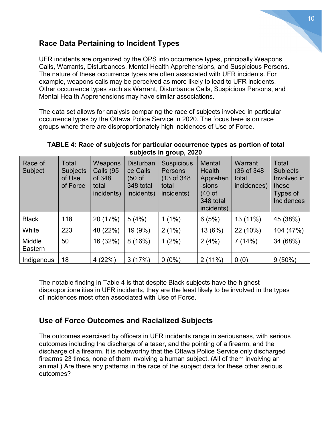## **Race Data Pertaining to Incident Types**

UFR incidents are organized by the OPS into occurrence types, principally Weapons Calls, Warrants, Disturbances, Mental Health Apprehensions, and Suspicious Persons. The nature of these occurrence types are often associated with UFR incidents. For example, weapons calls may be perceived as more likely to lead to UFR incidents. Other occurrence types such as Warrant, Disturbance Calls, Suspicious Persons, and Mental Health Apprehensions may have similar associations.

The data set allows for analysis comparing the race of subjects involved in particular occurrence types by the Ottawa Police Service in 2020. The focus here is on race groups where there are disproportionately high incidences of Use of Force.

| Race of<br>Subject | Total<br><b>Subjects</b><br>of Use<br>of Force | Weapons<br>Calls (95<br>of 348<br>total<br>incidents) | <b>Disturban</b><br>ce Calls<br>(50 of<br>348 total<br>incidents) | . .<br><b>Suspicious</b><br>Persons<br>(13 of 348)<br>total<br>incidents) | <b>Mental</b><br><b>Health</b><br>Apprehen<br>-sions<br>$(40 \text{ of }$<br>348 total<br>incidents) | Warrant<br>(36 of 348)<br>total<br>incidences) | Total<br><b>Subjects</b><br>Involved in<br>these<br>Types of<br><b>Incidences</b> |
|--------------------|------------------------------------------------|-------------------------------------------------------|-------------------------------------------------------------------|---------------------------------------------------------------------------|------------------------------------------------------------------------------------------------------|------------------------------------------------|-----------------------------------------------------------------------------------|
| <b>Black</b>       | 118                                            | 20 (17%)                                              | 5(4%)                                                             | $1(1\%)$                                                                  | 6(5%)                                                                                                | 13 (11%)                                       | 45 (38%)                                                                          |
| White              | 223                                            | 48 (22%)                                              | 19 (9%)                                                           | 2(1%)                                                                     | 13 (6%)                                                                                              | 22 (10%)                                       | 104 (47%)                                                                         |
| Middle<br>Eastern  | 50                                             | 16 (32%)                                              | 8(16%)                                                            | $1(2\%)$                                                                  | 2(4%)                                                                                                | 7(14%)                                         | 34 (68%)                                                                          |
| Indigenous         | 18                                             | 4(22%)                                                | 3(17%)                                                            | $0(0\%)$                                                                  | 2(11%)                                                                                               | 0(0)                                           | $9(50\%)$                                                                         |

#### **TABLE 4: Race of subjects for particular occurrence types as portion of total subjects in group, 2020**

The notable finding in Table 4 is that despite Black subjects have the highest disproportionalities in UFR incidents, they are the least likely to be involved in the types of incidences most often associated with Use of Force.

# **Use of Force Outcomes and Racialized Subjects**

The outcomes exercised by officers in UFR incidents range in seriousness, with serious outcomes including the discharge of a taser, and the pointing of a firearm, and the discharge of a firearm. It is noteworthy that the Ottawa Police Service only discharged firearms 23 times, none of them involving a human subject. (All of them involving an animal.) Are there any patterns in the race of the subject data for these other serious outcomes?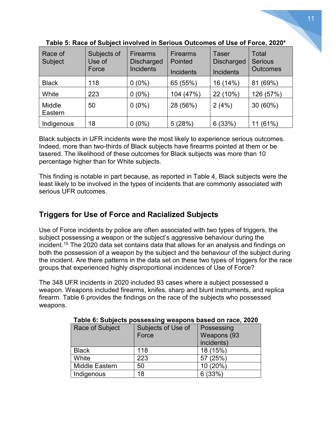| Race of<br>Subject | Subjects of<br>Use of<br>Force | <b>Firearms</b><br><b>Discharged</b><br><b>Incidents</b> | <b>Firearms</b><br>Pointed<br><b>Incidents</b> | Taser<br><b>Discharged</b><br><b>Incidents</b> | Total<br><b>Serious</b><br><b>Outcomes</b> |
|--------------------|--------------------------------|----------------------------------------------------------|------------------------------------------------|------------------------------------------------|--------------------------------------------|
| <b>Black</b>       | 118                            | $0(0\%)$                                                 | 65 (55%)                                       | 16 (14%)                                       | 81 (69%)                                   |
| White              | 223                            | $0(0\%)$                                                 | 104 (47%)                                      | 22 (10%)                                       | 126 (57%)                                  |
| Middle<br>Eastern  | 50                             | $0(0\%)$                                                 | 28 (56%)                                       | 2(4%)                                          | 30 (60%)                                   |
| Indigenous         | 18                             | $0(0\%)$                                                 | 5(28%)                                         | 6(33%)                                         | (61%)                                      |

**Table 5: Race of Subject involved in Serious Outcomes of Use of Force, 2020\***

Black subjects in UFR incidents were the most likely to experience serious outcomes. Indeed, more than two-thirds of Black subjects have firearms pointed at them or be tasered. The likelihood of these outcomes for Black subjects was more than 10 percentage higher than for White subjects.

This finding is notable in part because, as reported in Table 4, Black subjects were the least likely to be involved in the types of incidents that are commonly associated with serious UFR outcomes.

# **Triggers for Use of Force and Racialized Subjects**

Use of Force incidents by police are often associated with two types of triggers, the subject possessing a weapon or the subject's aggressive behaviour during the incident.[15](#page-13-11) The 2020 data set contains data that allows for an analysis and findings on both the possession of a weapon by the subject and the behaviour of the subject during the incident. Are there patterns in the data set on these two types of triggers for the race groups that experienced highly disproportional incidences of Use of Force?

The 348 UFR incidents in 2020 included 93 cases where a subject possessed a weapon. Weapons included firearms, knifes, sharp and blunt instruments, and replica firearm. Table 6 provides the findings on the race of the subjects who possessed weapons.

| Race of Subject | Subjects of Use of | Possessing  |
|-----------------|--------------------|-------------|
|                 | Force              | Weapons (93 |
|                 |                    | incidents)  |
| <b>Black</b>    | 118                | 18 (15%)    |
| White           | 223                | 57 (25%)    |
| Middle Eastern  | 50                 | 10 (20%)    |
| Indigenous      | 18                 | (33%)       |

**Table 6: Subjects possessing weapons based on race, 2020**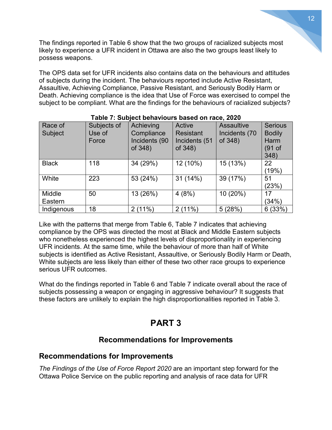The findings reported in Table 6 show that the two groups of racialized subjects most likely to experience a UFR incident in Ottawa are also the two groups least likely to possess weapons.

The OPS data set for UFR incidents also contains data on the behaviours and attitudes of subjects during the incident. The behaviours reported include Active Resistant, Assaultive, Achieving Compliance, Passive Resistant, and Seriously Bodily Harm or Death. Achieving compliance is the idea that Use of Force was exercised to compel the subject to be compliant. What are the findings for the behaviours of racialized subjects?

| Race of<br>Subject | Subjects of<br>Use of<br>Force | Achieving<br>Compliance<br>Incidents (90<br>of 348) | Active<br><b>Resistant</b><br>Incidents (51<br>of 348) | <b>Assaultive</b><br>Incidents (70<br>of 348) | <b>Serious</b><br><b>Bodily</b><br>Harm<br>(91 of<br>348) |
|--------------------|--------------------------------|-----------------------------------------------------|--------------------------------------------------------|-----------------------------------------------|-----------------------------------------------------------|
| <b>Black</b>       | 118                            | 34 (29%)                                            | 12 (10%)                                               | 15 (13%)                                      | 22<br>(19%)                                               |
| White              | 223                            | 53 (24%)                                            | 31 (14%)                                               | 39 (17%)                                      | 51<br>(23%)                                               |
| Middle<br>Eastern  | 50                             | 13 (26%)                                            | 4(8%)                                                  | 10 (20%)                                      | 17<br>(34%)                                               |
| Indigenous         | 18                             | 2(11%)                                              | 2(11%)                                                 | 5(28%)                                        | 6(33%)                                                    |

#### **Table 7: Subject behaviours based on race, 2020**

Like with the patterns that merge from Table 6, Table 7 indicates that achieving compliance by the OPS was directed the most at Black and Middle Eastern subjects who nonetheless experienced the highest levels of disproportionality in experiencing UFR incidents. At the same time, while the behaviour of more than half of White subjects is identified as Active Resistant, Assaultive, or Seriously Bodily Harm or Death, White subjects are less likely than either of these two other race groups to experience serious UFR outcomes.

What do the findings reported in Table 6 and Table 7 indicate overall about the race of subjects possessing a weapon or engaging in aggressive behaviour? It suggests that these factors are unlikely to explain the high disproportionalities reported in Table 3.

# **PART 3**

## **Recommendations for Improvements**

#### **Recommendations for Improvements**

*The Findings of the Use of Force Report 2020* are an important step forward for the Ottawa Police Service on the public reporting and analysis of race data for UFR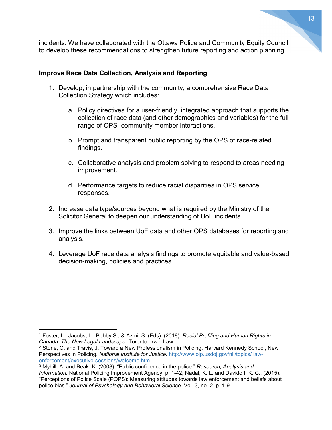incidents. We have collaborated with the Ottawa Police and Community Equity Council to develop these recommendations to strengthen future reporting and action planning.

#### **Improve Race Data Collection, Analysis and Reporting**

- 1. Develop, in partnership with the community, a comprehensive Race Data Collection Strategy which includes:
	- a. Policy directives for a user-friendly, integrated approach that supports the collection of race data (and other demographics and variables) for the full range of OPS–community member interactions.
	- b. Prompt and transparent public reporting by the OPS of race-related findings.
	- c. Collaborative analysis and problem solving to respond to areas needing improvement.
	- d. Performance targets to reduce racial disparities in OPS service responses.
- 2. Increase data type/sources beyond what is required by the Ministry of the Solicitor General to deepen our understanding of UoF incidents.
- 3. Improve the links between UoF data and other OPS databases for reporting and analysis.
- 4. Leverage UoF race data analysis findings to promote equitable and value-based decision-making, policies and practices.

 $\overline{a}$ 

<span id="page-12-0"></span><sup>1</sup> Foster, L., Jacobs, L., Bobby S., & Azmi, S. (Eds). (2018). *Racial Profiling and Human Rights in Canada: The New Legal Landscape*. Toronto: Irwin Law.

<span id="page-12-1"></span><sup>2</sup> Stone, C. and Travis, J. Toward a New Professionalism in Policing. Harvard Kennedy School, New Perspectives in Policing. *National Institute for Justice*. http://www.ojp.usdoj.gov/nij/topics/ lawenforcement/executive-sessions/welcome.htm. 3 Myhill, A. and Beak, K. (2008). "Public confidence in the police." *Research, Analysis and* 

<span id="page-12-2"></span>*Information.* National Policing Improvement Agency. p. 1-42; Nadal, K. L. and Davidoff, K. C.. (2015). "Perceptions of Police Scale (POPS): Measuring attitudes towards law enforcement and beliefs about police bias." *Journal of Psychology and Behavioral Science*. Vol. 3, no. 2. p. 1-9.